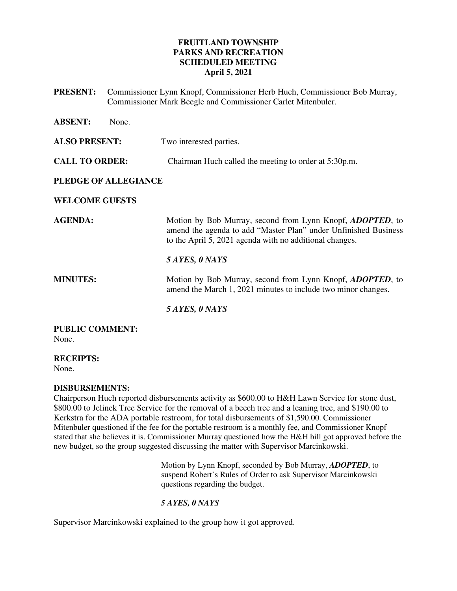# **FRUITLAND TOWNSHIP PARKS AND RECREATION SCHEDULED MEETING April 5, 2021**

**PRESENT:** Commissioner Lynn Knopf, Commissioner Herb Huch, Commissioner Bob Murray, Commissioner Mark Beegle and Commissioner Carlet Mitenbuler. **ABSENT:** None. **ALSO PRESENT:** Two interested parties. **CALL TO ORDER:** Chairman Huch called the meeting to order at 5:30p.m. **PLEDGE OF ALLEGIANCE WELCOME GUESTS AGENDA:** Motion by Bob Murray, second from Lynn Knopf, *ADOPTED*, to amend the agenda to add "Master Plan" under Unfinished Business to the April 5, 2021 agenda with no additional changes. *5 AYES, 0 NAYS*  **MINUTES:** Motion by Bob Murray, second from Lynn Knopf, *ADOPTED*, to amend the March 1, 2021 minutes to include two minor changes.  *5 AYES, 0 NAYS*  **PUBLIC COMMENT:** 

None.

**RECEIPTS:**  None.

**DISBURSEMENTS:** 

Chairperson Huch reported disbursements activity as \$600.00 to H&H Lawn Service for stone dust, \$800.00 to Jelinek Tree Service for the removal of a beech tree and a leaning tree, and \$190.00 to Kerkstra for the ADA portable restroom, for total disbursements of \$1,590.00. Commissioner Mitenbuler questioned if the fee for the portable restroom is a monthly fee, and Commissioner Knopf stated that she believes it is. Commissioner Murray questioned how the H&H bill got approved before the new budget, so the group suggested discussing the matter with Supervisor Marcinkowski.

> Motion by Lynn Knopf, seconded by Bob Murray, *ADOPTED*, to suspend Robert's Rules of Order to ask Supervisor Marcinkowski questions regarding the budget.

*5 AYES, 0 NAYS* 

Supervisor Marcinkowski explained to the group how it got approved.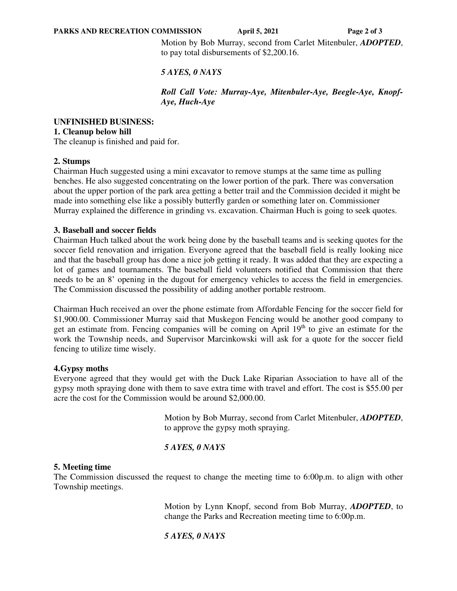Motion by Bob Murray, second from Carlet Mitenbuler, *ADOPTED*, to pay total disbursements of \$2,200.16.

# *5 AYES, 0 NAYS*

*Roll Call Vote: Murray-Aye, Mitenbuler-Aye, Beegle-Aye, Knopf-Aye, Huch-Aye* 

#### **UNFINISHED BUSINESS: 1. Cleanup below hill**

The cleanup is finished and paid for.

### **2. Stumps**

Chairman Huch suggested using a mini excavator to remove stumps at the same time as pulling benches. He also suggested concentrating on the lower portion of the park. There was conversation about the upper portion of the park area getting a better trail and the Commission decided it might be made into something else like a possibly butterfly garden or something later on. Commissioner Murray explained the difference in grinding vs. excavation. Chairman Huch is going to seek quotes.

### **3. Baseball and soccer fields**

Chairman Huch talked about the work being done by the baseball teams and is seeking quotes for the soccer field renovation and irrigation. Everyone agreed that the baseball field is really looking nice and that the baseball group has done a nice job getting it ready. It was added that they are expecting a lot of games and tournaments. The baseball field volunteers notified that Commission that there needs to be an 8' opening in the dugout for emergency vehicles to access the field in emergencies. The Commission discussed the possibility of adding another portable restroom.

Chairman Huch received an over the phone estimate from Affordable Fencing for the soccer field for \$1,900.00. Commissioner Murray said that Muskegon Fencing would be another good company to get an estimate from. Fencing companies will be coming on April  $19<sup>th</sup>$  to give an estimate for the work the Township needs, and Supervisor Marcinkowski will ask for a quote for the soccer field fencing to utilize time wisely.

# **4.Gypsy moths**

Everyone agreed that they would get with the Duck Lake Riparian Association to have all of the gypsy moth spraying done with them to save extra time with travel and effort. The cost is \$55.00 per acre the cost for the Commission would be around \$2,000.00.

> Motion by Bob Murray, second from Carlet Mitenbuler, *ADOPTED*, to approve the gypsy moth spraying.

# *5 AYES, 0 NAYS*

### **5. Meeting time**

The Commission discussed the request to change the meeting time to 6:00p.m. to align with other Township meetings.

> Motion by Lynn Knopf, second from Bob Murray, *ADOPTED*, to change the Parks and Recreation meeting time to 6:00p.m.

*5 AYES, 0 NAYS*